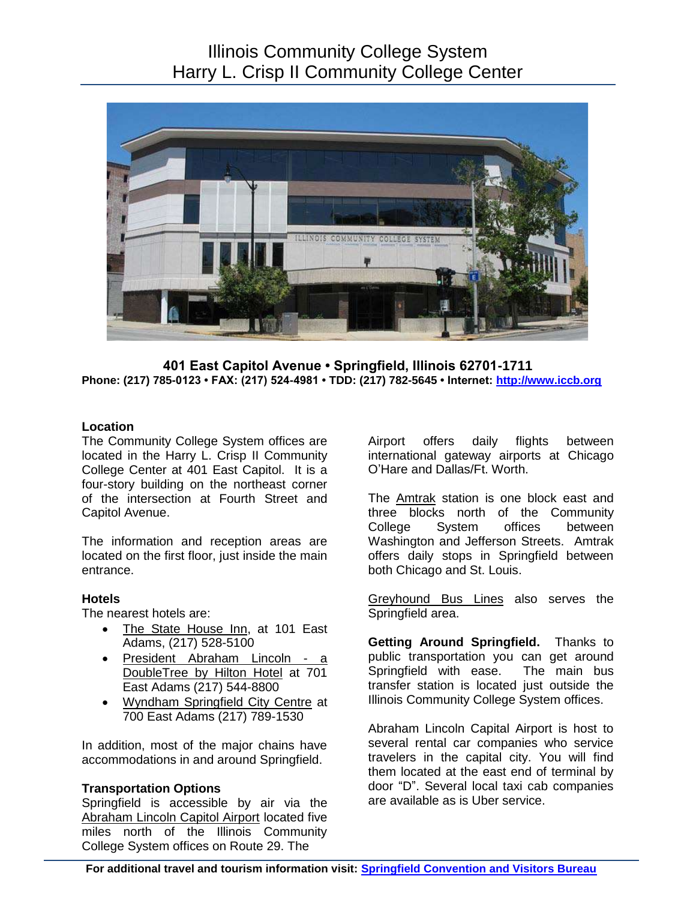# Illinois Community College System Harry L. Crisp II Community College Center



 **Phone: (217) 785-0123 • FAX: (217) 524-4981 • TDD: (217) 782-5645 • Internet: [http://www.iccb.org](http://www.iccb.org/) Location 401 East Capitol Avenue • Springfield, Illinois 62701-1711** 

 The Community College System offices are located in the Harry L. Crisp II Community College Center at 401 East Capitol. It is a four-story building on the northeast corner of the intersection at Fourth Street and Capitol Avenue.

 located on the first floor, just inside the main The information and reception areas are entrance.

### **Hotels**

The nearest hotels are:

- Adams, (217) 528-5100 The State House Inn, at 101 East
- President Abraham Lincoln a DoubleTree by Hilton Hotel at 701 East Adams (217) 544-8800
- Wyndham Springfield City Centre at 700 East Adams (217) 789-1530

 In addition, most of the major chains have accommodations in and around Springfield.

### **Transportation Options**

 Springfield is accessible by air via the Abraham Lincoln Capitol Airport located five miles north of the Illinois Community College System offices on Route 29. The

Airport international gateway airports at Chicago O'Hare and Dallas/Ft. Worth. offers daily flights between

The **Amtrak** station is one block east and three blocks north of the Community Washington and Jefferson Streets. Amtrak both Chicago and St. Louis. College System offices between offers daily stops in Springfield between

 Springfield area. Greyhound Bus Lines also serves the

 **Getting Around Springfield.** Thanks to public transportation you can get around Springfield with ease. The main bus transfer station is located just outside the Illinois Community College System offices.

 Abraham Lincoln Capital Airport is host to several rental car companies who service travelers in the capital city. You will find them located at the east end of terminal by door "D". Several local taxi cab companies are available as is Uber service.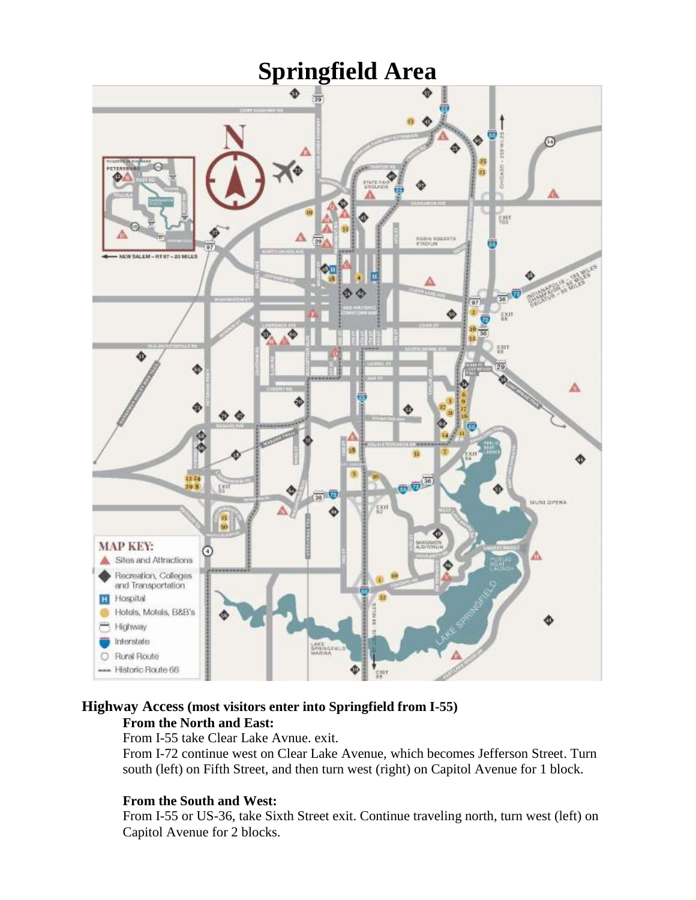

# **Highway Access (most visitors enter into Springfield from I-55)**

# **From the North and East:**

From I-55 take Clear Lake Avnue. exit.

From I-72 continue west on Clear Lake Avenue, which becomes Jefferson Street. Turn south (left) on Fifth Street, and then turn west (right) on Capitol Avenue for 1 block.

# **From the South and West:**

From I-55 or US-36, take Sixth Street exit. Continue traveling north, turn west (left) on Capitol Avenue for 2 blocks.